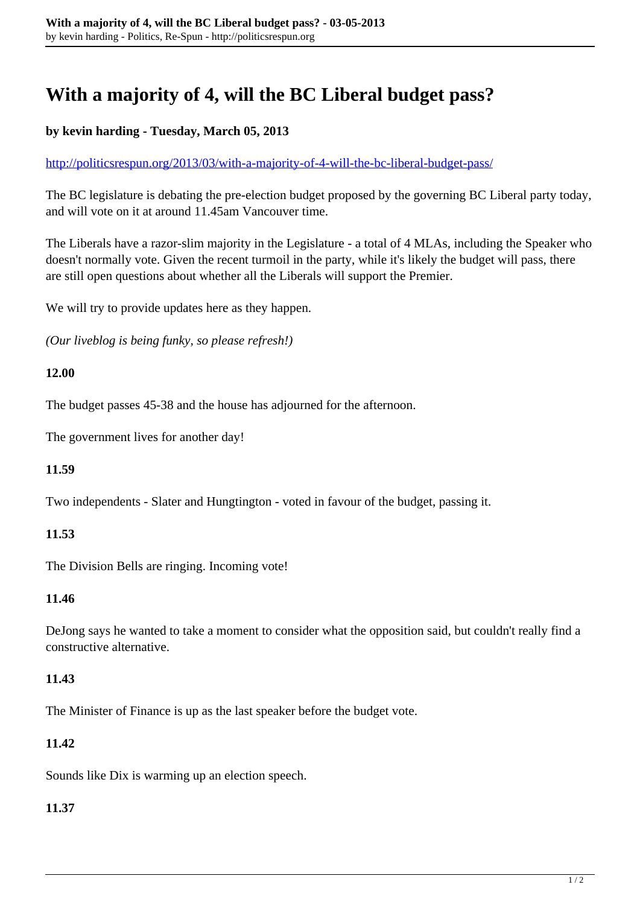# **With a majority of 4, will the BC Liberal budget pass?**

## **by kevin harding - Tuesday, March 05, 2013**

<http://politicsrespun.org/2013/03/with-a-majority-of-4-will-the-bc-liberal-budget-pass/>

The BC legislature is debating the pre-election budget proposed by the governing BC Liberal party today, and will vote on it at around 11.45am Vancouver time.

The Liberals have a razor-slim majority in the Legislature - a total of 4 MLAs, including the Speaker who doesn't normally vote. Given the recent turmoil in the party, while it's likely the budget will pass, there are still open questions about whether all the Liberals will support the Premier.

We will try to provide updates here as they happen.

*(Our liveblog is being funky, so please refresh!)*

#### **12.00**

The budget passes 45-38 and the house has adjourned for the afternoon.

The government lives for another day!

#### **11.59**

Two independents - Slater and Hungtington - voted in favour of the budget, passing it.

#### **11.53**

The Division Bells are ringing. Incoming vote!

#### **11.46**

DeJong says he wanted to take a moment to consider what the opposition said, but couldn't really find a constructive alternative.

## **11.43**

The Minister of Finance is up as the last speaker before the budget vote.

## **11.42**

Sounds like Dix is warming up an election speech.

#### **11.37**